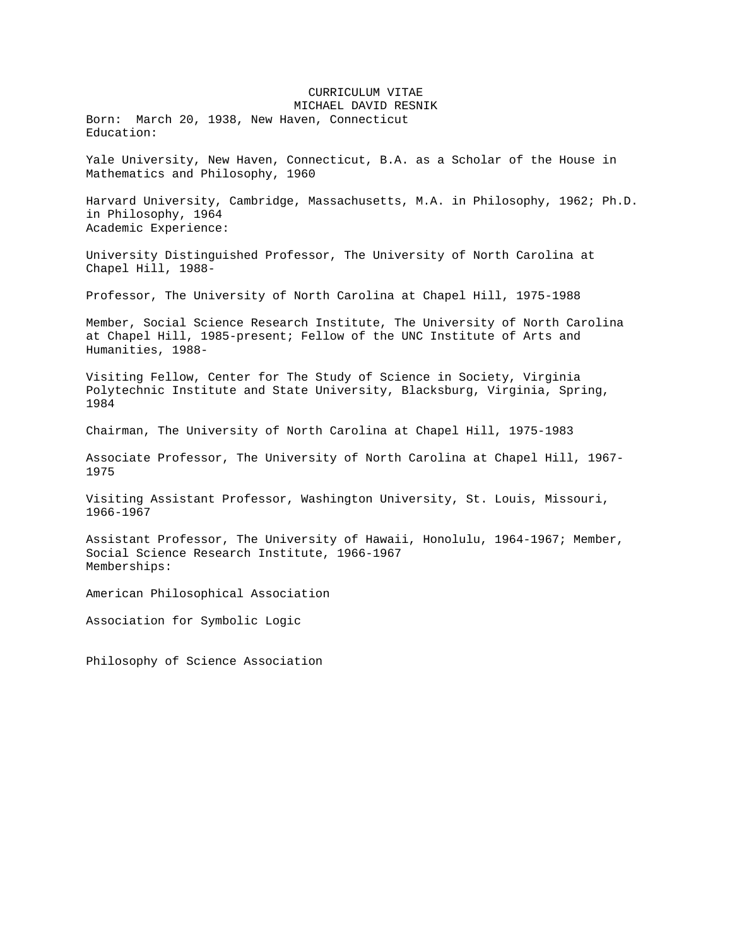CURRICULUM VITAE MICHAEL DAVID RESNIK Born: March 20, 1938, New Haven, Connecticut Education: Yale University, New Haven, Connecticut, B.A. as a Scholar of the House in Mathematics and Philosophy, 1960 Harvard University, Cambridge, Massachusetts, M.A. in Philosophy, 1962; Ph.D. in Philosophy, 1964 Academic Experience: University Distinguished Professor, The University of North Carolina at Chapel Hill, 1988- Professor, The University of North Carolina at Chapel Hill, 1975-1988 Member, Social Science Research Institute, The University of North Carolina at Chapel Hill, 1985-present; Fellow of the UNC Institute of Arts and Humanities, 1988- Visiting Fellow, Center for The Study of Science in Society, Virginia Polytechnic Institute and State University, Blacksburg, Virginia, Spring, 1984 Chairman, The University of North Carolina at Chapel Hill, 1975-1983 Associate Professor, The University of North Carolina at Chapel Hill, 1967- 1975 Visiting Assistant Professor, Washington University, St. Louis, Missouri, 1966-1967 Assistant Professor, The University of Hawaii, Honolulu, 1964-1967; Member, Social Science Research Institute, 1966-1967 Memberships: American Philosophical Association Association for Symbolic Logic Philosophy of Science Association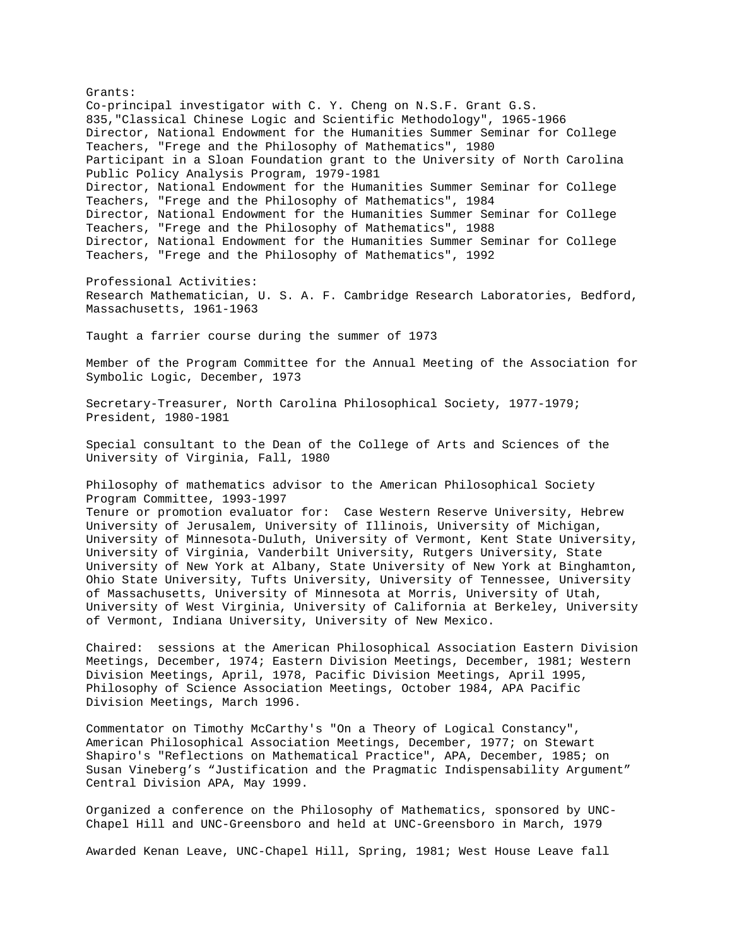Grants: Co-principal investigator with C. Y. Cheng on N.S.F. Grant G.S. 835,"Classical Chinese Logic and Scientific Methodology", 1965-1966 Director, National Endowment for the Humanities Summer Seminar for College Teachers, "Frege and the Philosophy of Mathematics", 1980 Participant in a Sloan Foundation grant to the University of North Carolina Public Policy Analysis Program, 1979-1981 Director, National Endowment for the Humanities Summer Seminar for College Teachers, "Frege and the Philosophy of Mathematics", 1984 Director, National Endowment for the Humanities Summer Seminar for College Teachers, "Frege and the Philosophy of Mathematics", 1988 Director, National Endowment for the Humanities Summer Seminar for College Teachers, "Frege and the Philosophy of Mathematics", 1992 Professional Activities: Research Mathematician, U. S. A. F. Cambridge Research Laboratories, Bedford, Massachusetts, 1961-1963 Taught a farrier course during the summer of 1973 Member of the Program Committee for the Annual Meeting of the Association for Symbolic Logic, December, 1973 Secretary-Treasurer, North Carolina Philosophical Society, 1977-1979; President, 1980-1981 Special consultant to the Dean of the College of Arts and Sciences of the University of Virginia, Fall, 1980 Philosophy of mathematics advisor to the American Philosophical Society Program Committee, 1993-1997 Tenure or promotion evaluator for: Case Western Reserve University, Hebrew University of Jerusalem, University of Illinois, University of Michigan, University of Minnesota-Duluth, University of Vermont, Kent State University, University of Virginia, Vanderbilt University, Rutgers University, State University of New York at Albany, State University of New York at Binghamton, Ohio State University, Tufts University, University of Tennessee, University of Massachusetts, University of Minnesota at Morris, University of Utah, University of West Virginia, University of California at Berkeley, University of Vermont, Indiana University, University of New Mexico. Chaired: sessions at the American Philosophical Association Eastern Division Meetings, December, 1974; Eastern Division Meetings, December, 1981; Western Division Meetings, April, 1978, Pacific Division Meetings, April 1995, Philosophy of Science Association Meetings, October 1984, APA Pacific Division Meetings, March 1996. Commentator on Timothy McCarthy's "On a Theory of Logical Constancy", American Philosophical Association Meetings, December, 1977; on Stewart Shapiro's "Reflections on Mathematical Practice", APA, December, 1985; on

Organized a conference on the Philosophy of Mathematics, sponsored by UNC-Chapel Hill and UNC-Greensboro and held at UNC-Greensboro in March, 1979

Central Division APA, May 1999.

Susan Vineberg's "Justification and the Pragmatic Indispensability Argument"

Awarded Kenan Leave, UNC-Chapel Hill, Spring, 1981; West House Leave fall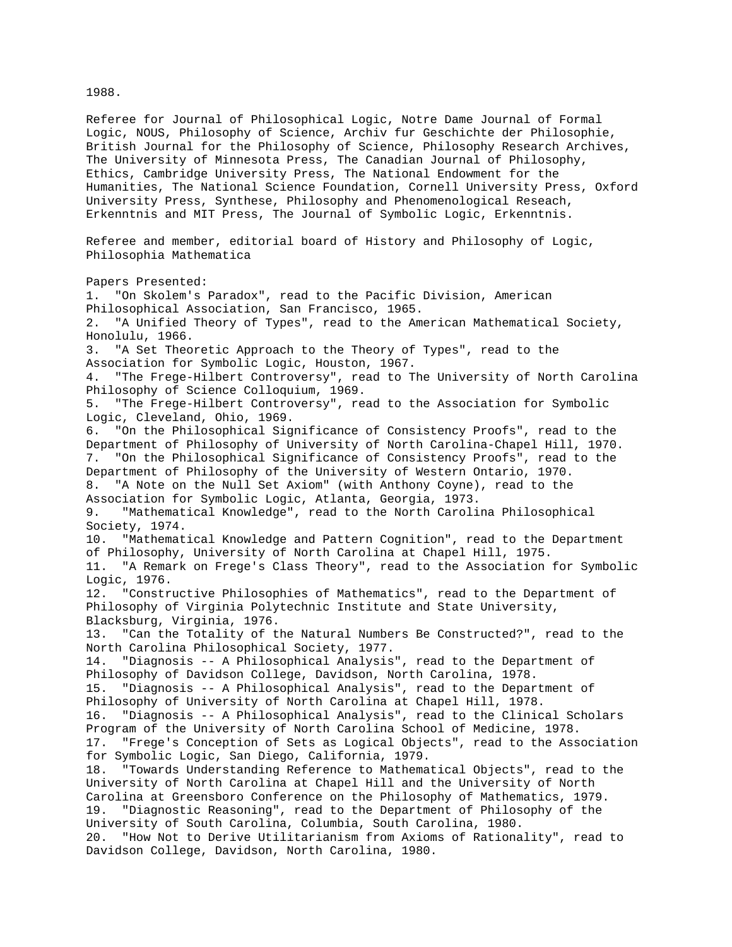Referee for Journal of Philosophical Logic, Notre Dame Journal of Formal Logic, NOUS, Philosophy of Science, Archiv fur Geschichte der Philosophie, British Journal for the Philosophy of Science, Philosophy Research Archives, The University of Minnesota Press, The Canadian Journal of Philosophy, Ethics, Cambridge University Press, The National Endowment for the Humanities, The National Science Foundation, Cornell University Press, Oxford University Press, Synthese, Philosophy and Phenomenological Reseach, Erkenntnis and MIT Press, The Journal of Symbolic Logic, Erkenntnis. Referee and member, editorial board of History and Philosophy of Logic, Philosophia Mathematica Papers Presented: 1. "On Skolem's Paradox", read to the Pacific Division, American Philosophical Association, San Francisco, 1965. 2. "A Unified Theory of Types", read to the American Mathematical Society, Honolulu, 1966. 3. "A Set Theoretic Approach to the Theory of Types", read to the Association for Symbolic Logic, Houston, 1967. 4. "The Frege-Hilbert Controversy", read to The University of North Carolina Philosophy of Science Colloquium, 1969. 5. "The Frege-Hilbert Controversy", read to the Association for Symbolic Logic, Cleveland, Ohio, 1969. 6. "On the Philosophical Significance of Consistency Proofs", read to the Department of Philosophy of University of North Carolina-Chapel Hill, 1970. 7. "On the Philosophical Significance of Consistency Proofs", read to the Department of Philosophy of the University of Western Ontario, 1970. 8. "A Note on the Null Set Axiom" (with Anthony Coyne), read to the Association for Symbolic Logic, Atlanta, Georgia, 1973. 9. "Mathematical Knowledge", read to the North Carolina Philosophical Society, 1974. 10. "Mathematical Knowledge and Pattern Cognition", read to the Department of Philosophy, University of North Carolina at Chapel Hill, 1975. 11. "A Remark on Frege's Class Theory", read to the Association for Symbolic Logic, 1976. 12. "Constructive Philosophies of Mathematics", read to the Department of Philosophy of Virginia Polytechnic Institute and State University, Blacksburg, Virginia, 1976. 13. "Can the Totality of the Natural Numbers Be Constructed?", read to the North Carolina Philosophical Society, 1977. 14. "Diagnosis -- A Philosophical Analysis", read to the Department of Philosophy of Davidson College, Davidson, North Carolina, 1978. 15. "Diagnosis -- A Philosophical Analysis", read to the Department of Philosophy of University of North Carolina at Chapel Hill, 1978. 16. "Diagnosis -- A Philosophical Analysis", read to the Clinical Scholars Program of the University of North Carolina School of Medicine, 1978. 17. "Frege's Conception of Sets as Logical Objects", read to the Association for Symbolic Logic, San Diego, California, 1979. 18. "Towards Understanding Reference to Mathematical Objects", read to the University of North Carolina at Chapel Hill and the University of North Carolina at Greensboro Conference on the Philosophy of Mathematics, 1979. 19. "Diagnostic Reasoning", read to the Department of Philosophy of the University of South Carolina, Columbia, South Carolina, 1980. 20. "How Not to Derive Utilitarianism from Axioms of Rationality", read to Davidson College, Davidson, North Carolina, 1980.

1988.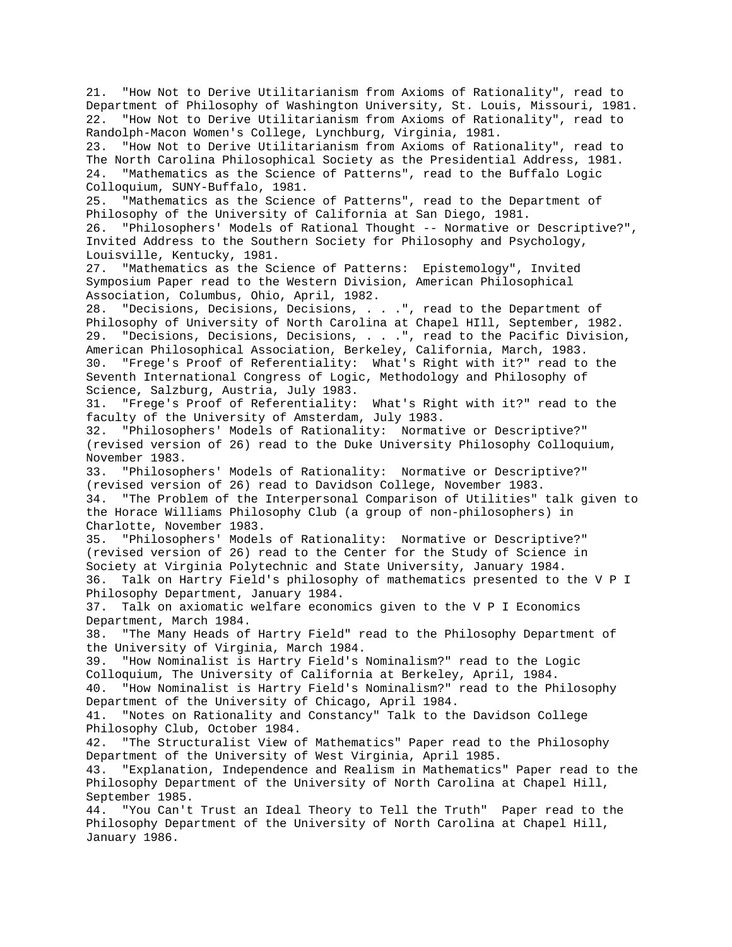21. "How Not to Derive Utilitarianism from Axioms of Rationality", read to Department of Philosophy of Washington University, St. Louis, Missouri, 1981. 22. "How Not to Derive Utilitarianism from Axioms of Rationality", read to Randolph-Macon Women's College, Lynchburg, Virginia, 1981. 23. "How Not to Derive Utilitarianism from Axioms of Rationality", read to The North Carolina Philosophical Society as the Presidential Address, 1981. 24. "Mathematics as the Science of Patterns", read to the Buffalo Logic Colloquium, SUNY-Buffalo, 1981. 25. "Mathematics as the Science of Patterns", read to the Department of Philosophy of the University of California at San Diego, 1981. 26. "Philosophers' Models of Rational Thought -- Normative or Descriptive?", Invited Address to the Southern Society for Philosophy and Psychology, Louisville, Kentucky, 1981. 27. "Mathematics as the Science of Patterns: Epistemology", Invited Symposium Paper read to the Western Division, American Philosophical Association, Columbus, Ohio, April, 1982. 28. "Decisions, Decisions, Decisions, . . .", read to the Department of Philosophy of University of North Carolina at Chapel HIll, September, 1982. 29. "Decisions, Decisions, Decisions, . . .", read to the Pacific Division, American Philosophical Association, Berkeley, California, March, 1983. 30. "Frege's Proof of Referentiality: What's Right with it?" read to the Seventh International Congress of Logic, Methodology and Philosophy of Science, Salzburg, Austria, July 1983. 31. "Frege's Proof of Referentiality: What's Right with it?" read to the faculty of the University of Amsterdam, July 1983. 32. "Philosophers' Models of Rationality: Normative or Descriptive?" (revised version of 26) read to the Duke University Philosophy Colloquium, November 1983. 33. "Philosophers' Models of Rationality: Normative or Descriptive?" (revised version of 26) read to Davidson College, November 1983. 34. "The Problem of the Interpersonal Comparison of Utilities" talk given to the Horace Williams Philosophy Club (a group of non-philosophers) in Charlotte, November 1983. 35. "Philosophers' Models of Rationality: Normative or Descriptive?" (revised version of 26) read to the Center for the Study of Science in Society at Virginia Polytechnic and State University, January 1984. 36. Talk on Hartry Field's philosophy of mathematics presented to the V P I Philosophy Department, January 1984. 37. Talk on axiomatic welfare economics given to the V P I Economics Department, March 1984. 38. "The Many Heads of Hartry Field" read to the Philosophy Department of the University of Virginia, March 1984. 39. "How Nominalist is Hartry Field's Nominalism?" read to the Logic Colloquium, The University of California at Berkeley, April, 1984. 40. "How Nominalist is Hartry Field's Nominalism?" read to the Philosophy Department of the University of Chicago, April 1984. 41. "Notes on Rationality and Constancy" Talk to the Davidson College Philosophy Club, October 1984. 42. "The Structuralist View of Mathematics" Paper read to the Philosophy Department of the University of West Virginia, April 1985. 43. "Explanation, Independence and Realism in Mathematics" Paper read to the Philosophy Department of the University of North Carolina at Chapel Hill, September 1985. 44. "You Can't Trust an Ideal Theory to Tell the Truth" Paper read to the Philosophy Department of the University of North Carolina at Chapel Hill, January 1986.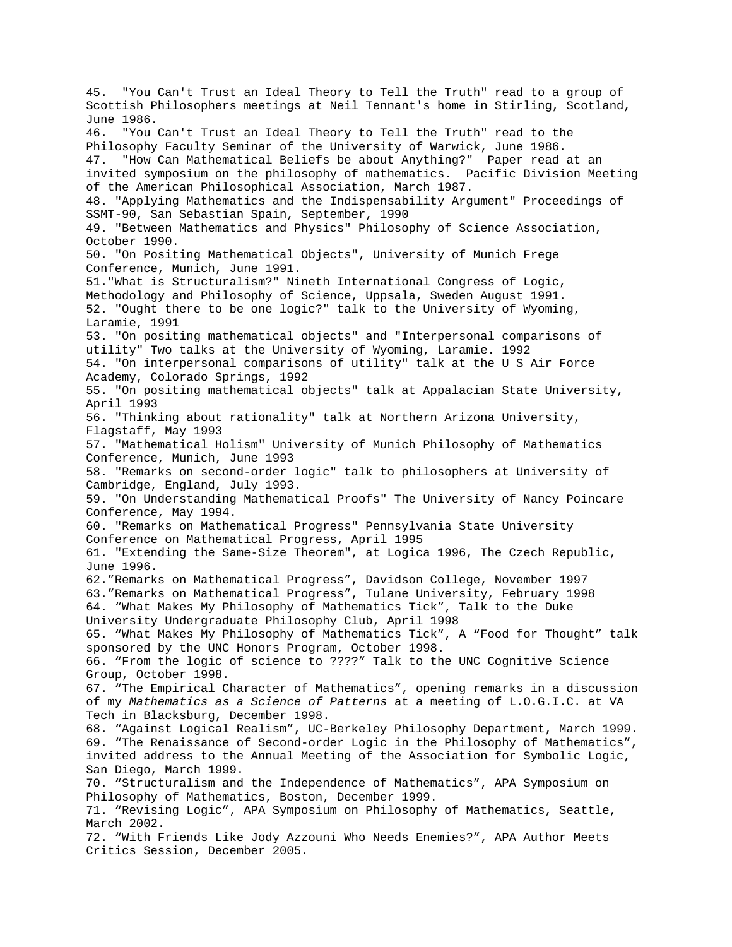45. "You Can't Trust an Ideal Theory to Tell the Truth" read to a group of Scottish Philosophers meetings at Neil Tennant's home in Stirling, Scotland, June 1986. 46. "You Can't Trust an Ideal Theory to Tell the Truth" read to the Philosophy Faculty Seminar of the University of Warwick, June 1986. 47. "How Can Mathematical Beliefs be about Anything?" Paper read at an invited symposium on the philosophy of mathematics. Pacific Division Meeting of the American Philosophical Association, March 1987. 48. "Applying Mathematics and the Indispensability Argument" Proceedings of SSMT-90, San Sebastian Spain, September, 1990 49. "Between Mathematics and Physics" Philosophy of Science Association, October 1990. 50. "On Positing Mathematical Objects", University of Munich Frege Conference, Munich, June 1991. 51."What is Structuralism?" Nineth International Congress of Logic, Methodology and Philosophy of Science, Uppsala, Sweden August 1991. 52. "Ought there to be one logic?" talk to the University of Wyoming, Laramie, 1991 53. "On positing mathematical objects" and "Interpersonal comparisons of utility" Two talks at the University of Wyoming, Laramie. 1992 54. "On interpersonal comparisons of utility" talk at the U S Air Force Academy, Colorado Springs, 1992 55. "On positing mathematical objects" talk at Appalacian State University, April 1993 56. "Thinking about rationality" talk at Northern Arizona University, Flagstaff, May 1993 57. "Mathematical Holism" University of Munich Philosophy of Mathematics Conference, Munich, June 1993 58. "Remarks on second-order logic" talk to philosophers at University of Cambridge, England, July 1993. 59. "On Understanding Mathematical Proofs" The University of Nancy Poincare Conference, May 1994. 60. "Remarks on Mathematical Progress" Pennsylvania State University Conference on Mathematical Progress, April 1995 61. "Extending the Same-Size Theorem", at Logica 1996, The Czech Republic, June 1996. 62."Remarks on Mathematical Progress", Davidson College, November 1997 63."Remarks on Mathematical Progress", Tulane University, February 1998 64. "What Makes My Philosophy of Mathematics Tick", Talk to the Duke University Undergraduate Philosophy Club, April 1998 65. "What Makes My Philosophy of Mathematics Tick", A "Food for Thought" talk sponsored by the UNC Honors Program, October 1998. 66. "From the logic of science to ????" Talk to the UNC Cognitive Science Group, October 1998. 67. "The Empirical Character of Mathematics", opening remarks in a discussion of my *Mathematics as a Science of Patterns* at a meeting of L.O.G.I.C. at VA Tech in Blacksburg, December 1998. 68. "Against Logical Realism", UC-Berkeley Philosophy Department, March 1999. 69. "The Renaissance of Second-order Logic in the Philosophy of Mathematics", invited address to the Annual Meeting of the Association for Symbolic Logic, San Diego, March 1999. 70. "Structuralism and the Independence of Mathematics", APA Symposium on Philosophy of Mathematics, Boston, December 1999. 71. "Revising Logic", APA Symposium on Philosophy of Mathematics, Seattle, March 2002. 72. "With Friends Like Jody Azzouni Who Needs Enemies?", APA Author Meets Critics Session, December 2005.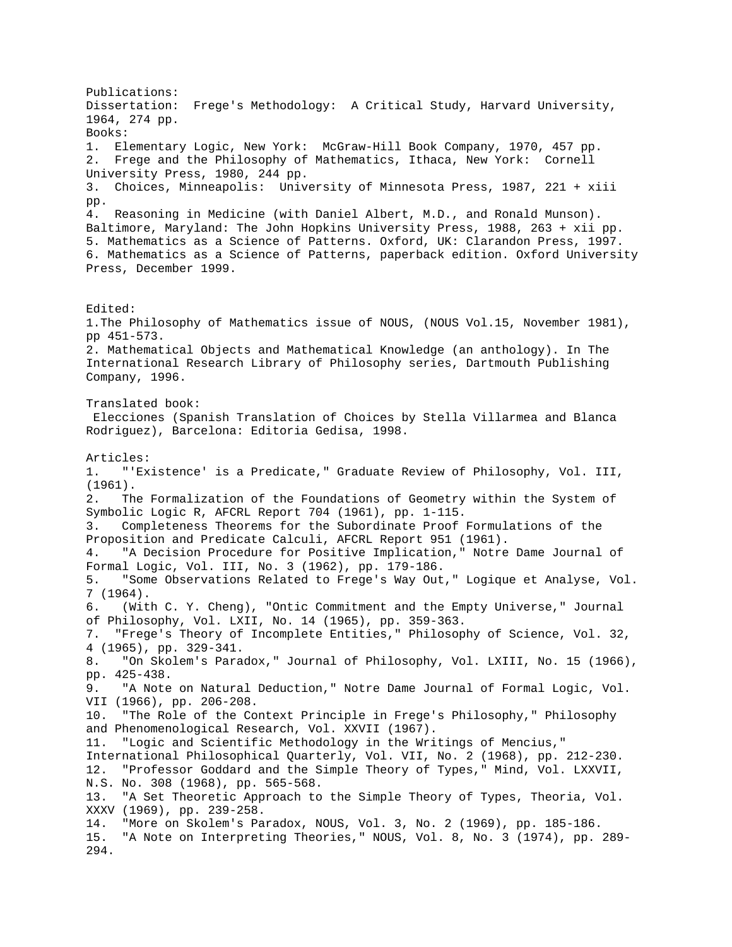Publications: Dissertation: Frege's Methodology: A Critical Study, Harvard University, 1964, 274 pp. Books: 1. Elementary Logic, New York: McGraw-Hill Book Company, 1970, 457 pp. 2. Frege and the Philosophy of Mathematics, Ithaca, New York: Cornell University Press, 1980, 244 pp. 3. Choices, Minneapolis: University of Minnesota Press, 1987, 221 + xiii pp. 4. Reasoning in Medicine (with Daniel Albert, M.D., and Ronald Munson). Baltimore, Maryland: The John Hopkins University Press, 1988, 263 + xii pp. 5. Mathematics as a Science of Patterns. Oxford, UK: Clarandon Press, 1997. 6. Mathematics as a Science of Patterns, paperback edition. Oxford University Press, December 1999. Edited: 1.The Philosophy of Mathematics issue of NOUS, (NOUS Vol.15, November 1981), pp 451-573. 2. Mathematical Objects and Mathematical Knowledge (an anthology). In The International Research Library of Philosophy series, Dartmouth Publishing Company, 1996. Translated book: Elecciones (Spanish Translation of Choices by Stella Villarmea and Blanca Rodriguez), Barcelona: Editoria Gedisa, 1998. Articles: 1. "'Existence' is a Predicate," Graduate Review of Philosophy, Vol. III, (1961). 2. The Formalization of the Foundations of Geometry within the System of Symbolic Logic R, AFCRL Report 704 (1961), pp. 1-115. 3. Completeness Theorems for the Subordinate Proof Formulations of the Proposition and Predicate Calculi, AFCRL Report 951 (1961). 4. "A Decision Procedure for Positive Implication," Notre Dame Journal of Formal Logic, Vol. III, No. 3 (1962), pp. 179-186. 5. "Some Observations Related to Frege's Way Out," Logique et Analyse, Vol. 7 (1964). 6. (With C. Y. Cheng), "Ontic Commitment and the Empty Universe," Journal of Philosophy, Vol. LXII, No. 14 (1965), pp. 359-363. 7. "Frege's Theory of Incomplete Entities," Philosophy of Science, Vol. 32, 4 (1965), pp. 329-341. 8. "On Skolem's Paradox," Journal of Philosophy, Vol. LXIII, No. 15 (1966), pp. 425-438. 9. "A Note on Natural Deduction," Notre Dame Journal of Formal Logic, Vol. VII (1966), pp. 206-208. 10. "The Role of the Context Principle in Frege's Philosophy," Philosophy and Phenomenological Research, Vol. XXVII (1967). 11. "Logic and Scientific Methodology in the Writings of Mencius," International Philosophical Quarterly, Vol. VII, No. 2 (1968), pp. 212-230. 12. "Professor Goddard and the Simple Theory of Types," Mind, Vol. LXXVII, N.S. No. 308 (1968), pp. 565-568. 13. "A Set Theoretic Approach to the Simple Theory of Types, Theoria, Vol. XXXV (1969), pp. 239-258. 14. "More on Skolem's Paradox, NOUS, Vol. 3, No. 2 (1969), pp. 185-186. 15. "A Note on Interpreting Theories," NOUS, Vol. 8, No. 3 (1974), pp. 289- 294.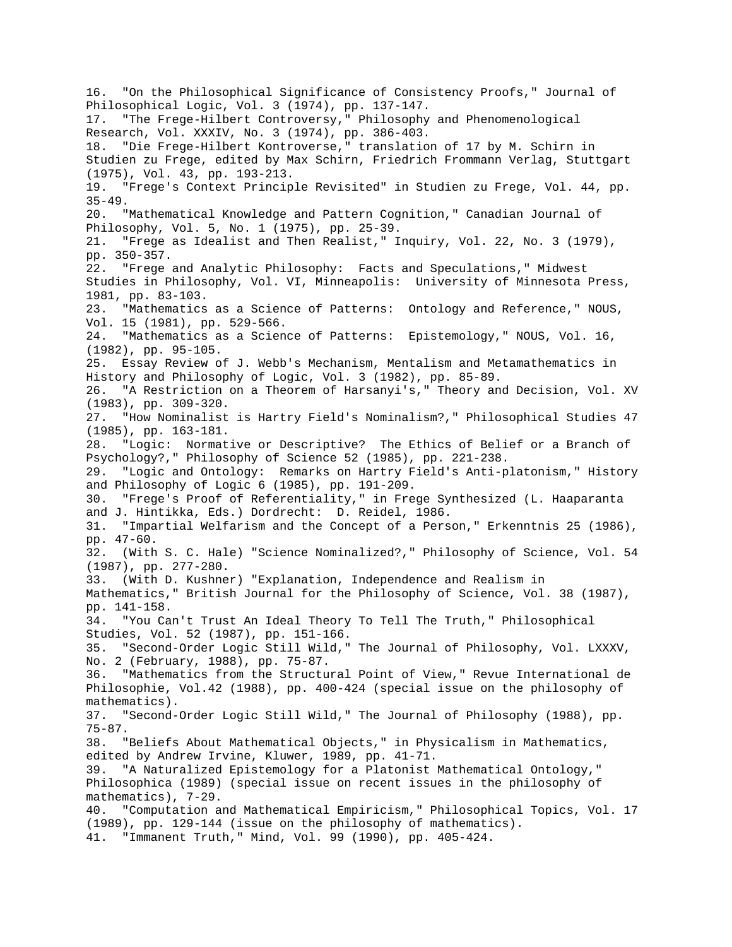16. "On the Philosophical Significance of Consistency Proofs," Journal of Philosophical Logic, Vol. 3 (1974), pp. 137-147. 17. "The Frege-Hilbert Controversy," Philosophy and Phenomenological Research, Vol. XXXIV, No. 3 (1974), pp. 386-403. 18. "Die Frege-Hilbert Kontroverse," translation of 17 by M. Schirn in Studien zu Frege, edited by Max Schirn, Friedrich Frommann Verlag, Stuttgart (1975), Vol. 43, pp. 193-213. 19. "Frege's Context Principle Revisited" in Studien zu Frege, Vol. 44, pp. 35-49. 20. "Mathematical Knowledge and Pattern Cognition," Canadian Journal of Philosophy, Vol. 5, No. 1 (1975), pp. 25-39. 21. "Frege as Idealist and Then Realist," Inquiry, Vol. 22, No. 3 (1979), pp. 350-357. 22. "Frege and Analytic Philosophy: Facts and Speculations," Midwest Studies in Philosophy, Vol. VI, Minneapolis: University of Minnesota Press, 1981, pp. 83-103. 23. "Mathematics as a Science of Patterns: Ontology and Reference," NOUS, Vol. 15 (1981), pp. 529-566. 24. "Mathematics as a Science of Patterns: Epistemology," NOUS, Vol. 16, (1982), pp. 95-105. 25. Essay Review of J. Webb's Mechanism, Mentalism and Metamathematics in History and Philosophy of Logic, Vol. 3 (1982), pp. 85-89. 26. "A Restriction on a Theorem of Harsanyi's," Theory and Decision, Vol. XV (1983), pp. 309-320. 27. "How Nominalist is Hartry Field's Nominalism?," Philosophical Studies 47 (1985), pp. 163-181. 28. "Logic: Normative or Descriptive? The Ethics of Belief or a Branch of Psychology?," Philosophy of Science 52 (1985), pp. 221-238. 29. "Logic and Ontology: Remarks on Hartry Field's Anti-platonism," History and Philosophy of Logic 6 (1985), pp. 191-209. 30. "Frege's Proof of Referentiality," in Frege Synthesized (L. Haaparanta and J. Hintikka, Eds.) Dordrecht: D. Reidel, 1986. 31. "Impartial Welfarism and the Concept of a Person," Erkenntnis 25 (1986), pp. 47-60. 32. (With S. C. Hale) "Science Nominalized?," Philosophy of Science, Vol. 54 (1987), pp. 277-280. 33. (With D. Kushner) "Explanation, Independence and Realism in Mathematics," British Journal for the Philosophy of Science, Vol. 38 (1987), pp. 141-158. 34. "You Can't Trust An Ideal Theory To Tell The Truth," Philosophical Studies, Vol. 52 (1987), pp. 151-166. 35. "Second-Order Logic Still Wild," The Journal of Philosophy, Vol. LXXXV, No. 2 (February, 1988), pp. 75-87. 36. "Mathematics from the Structural Point of View," Revue International de Philosophie, Vol.42 (1988), pp. 400-424 (special issue on the philosophy of mathematics). 37. "Second-Order Logic Still Wild," The Journal of Philosophy (1988), pp. 75-87. 38. "Beliefs About Mathematical Objects," in Physicalism in Mathematics, edited by Andrew Irvine, Kluwer, 1989, pp. 41-71. 39. "A Naturalized Epistemology for a Platonist Mathematical Ontology," Philosophica (1989) (special issue on recent issues in the philosophy of mathematics), 7-29. 40. "Computation and Mathematical Empiricism," Philosophical Topics, Vol. 17 (1989), pp. 129-144 (issue on the philosophy of mathematics). 41. "Immanent Truth," Mind, Vol. 99 (1990), pp. 405-424.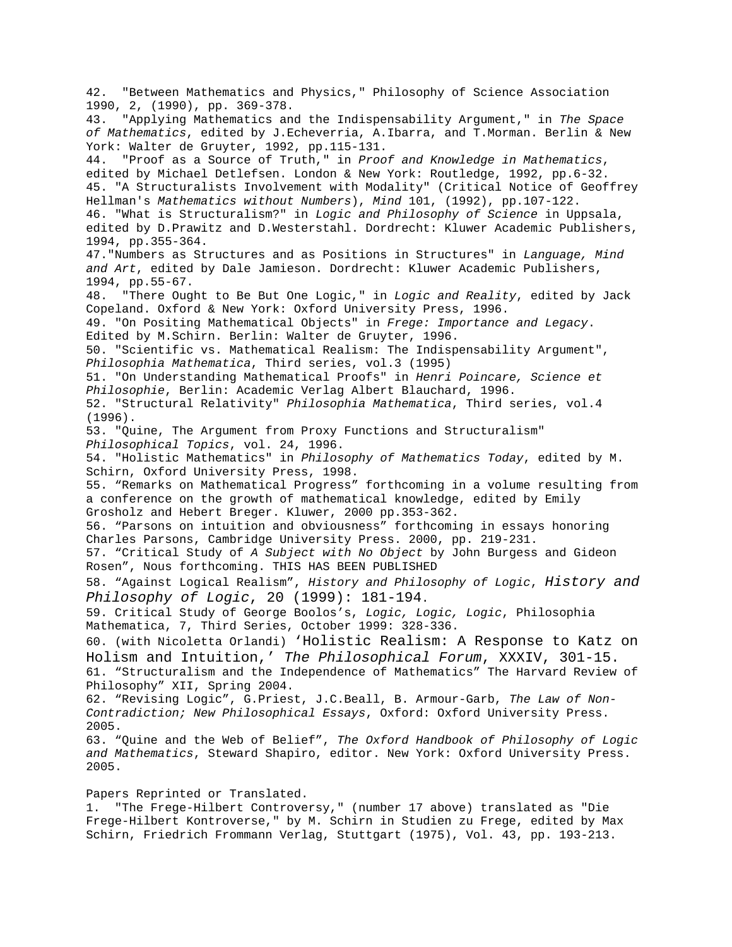42. "Between Mathematics and Physics," Philosophy of Science Association 1990, 2, (1990), pp. 369-378. 43. "Applying Mathematics and the Indispensability Argument," in *The Space of Mathematics*, edited by J.Echeverria, A.Ibarra, and T.Morman. Berlin & New York: Walter de Gruyter, 1992, pp.115-131. 44. "Proof as a Source of Truth," in *Proof and Knowledge in Mathematics*, edited by Michael Detlefsen. London & New York: Routledge, 1992, pp.6-32. 45. "A Structuralists Involvement with Modality" (Critical Notice of Geoffrey Hellman's *Mathematics without Numbers*), *Mind* 101, (1992), pp.107-122. 46. "What is Structuralism?" in *Logic and Philosophy of Science* in Uppsala, edited by D.Prawitz and D.Westerstahl. Dordrecht: Kluwer Academic Publishers, 1994, pp.355-364. 47."Numbers as Structures and as Positions in Structures" in *Language, Mind and Art*, edited by Dale Jamieson. Dordrecht: Kluwer Academic Publishers, 1994, pp.55-67. 48. "There Ought to Be But One Logic," in *Logic and Reality*, edited by Jack Copeland. Oxford & New York: Oxford University Press, 1996. 49. "On Positing Mathematical Objects" in *Frege: Importance and Legacy*. Edited by M.Schirn. Berlin: Walter de Gruyter, 1996. 50. "Scientific vs. Mathematical Realism: The Indispensability Argument", *Philosophia Mathematica*, Third series, vol.3 (1995) 51. "On Understanding Mathematical Proofs" in *Henri Poincare, Science et Philosophie*, Berlin: Academic Verlag Albert Blauchard, 1996. 52. "Structural Relativity" *Philosophia Mathematica*, Third series, vol.4 (1996). 53. "Quine, The Argument from Proxy Functions and Structuralism" *Philosophical Topics*, vol. 24, 1996. 54. "Holistic Mathematics" in *Philosophy of Mathematics Today*, edited by M. Schirn, Oxford University Press, 1998. 55. "Remarks on Mathematical Progress" forthcoming in a volume resulting from a conference on the growth of mathematical knowledge, edited by Emily Grosholz and Hebert Breger. Kluwer, 2000 pp.353-362. 56. "Parsons on intuition and obviousness" forthcoming in essays honoring Charles Parsons, Cambridge University Press. 2000, pp. 219-231. 57. "Critical Study of *A Subject with No Object* by John Burgess and Gideon Rosen", Nous forthcoming. THIS HAS BEEN PUBLISHED 58. "Against Logical Realism", *History and Philosophy of Logic*, *History and Philosophy of Logic*, 20 (1999): 181-194. 59. Critical Study of George Boolos's, *Logic, Logic, Logic*, Philosophia Mathematica, 7, Third Series, October 1999: 328-336. 60. (with Nicoletta Orlandi) 'Holistic Realism: A Response to Katz on Holism and Intuition,' *The Philosophical Forum*, XXXIV, 301-15. 61. "Structuralism and the Independence of Mathematics" The Harvard Review of Philosophy" XII, Spring 2004. 62. "Revising Logic", G.Priest, J.C.Beall, B. Armour-Garb, *The Law of Non-Contradiction; New Philosophical Essays*, Oxford: Oxford University Press. 2005. 63. "Quine and the Web of Belief", *The Oxford Handbook of Philosophy of Logic and Mathematics*, Steward Shapiro, editor. New York: Oxford University Press. 2005.

Papers Reprinted or Translated.

1. "The Frege-Hilbert Controversy," (number 17 above) translated as "Die Frege-Hilbert Kontroverse," by M. Schirn in Studien zu Frege, edited by Max Schirn, Friedrich Frommann Verlag, Stuttgart (1975), Vol. 43, pp. 193-213.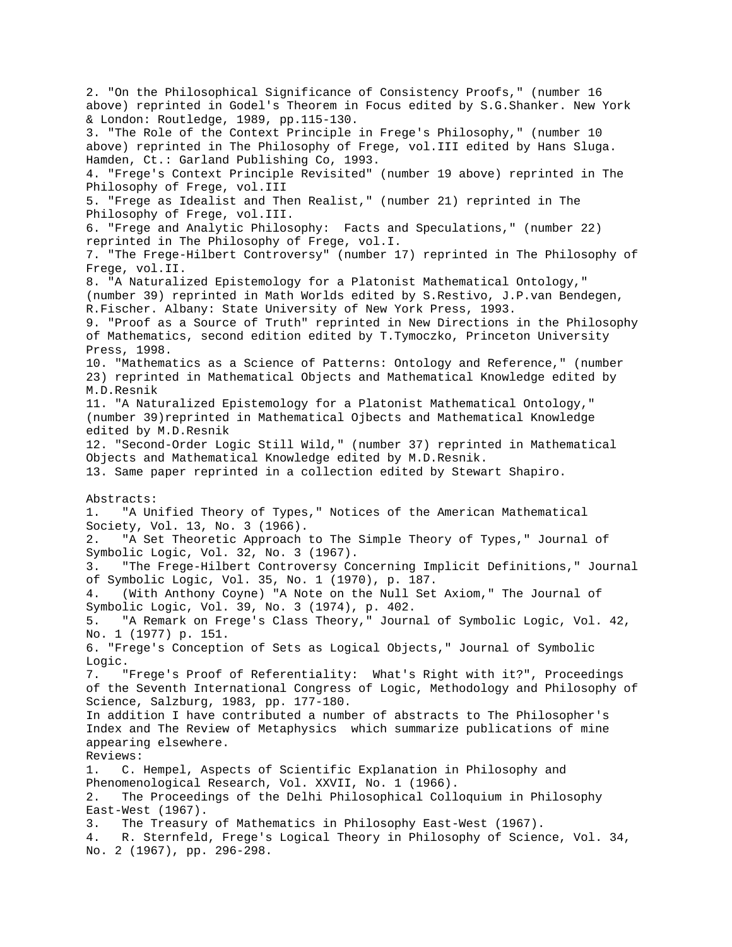2. "On the Philosophical Significance of Consistency Proofs," (number 16 above) reprinted in Godel's Theorem in Focus edited by S.G.Shanker. New York & London: Routledge, 1989, pp.115-130. 3. "The Role of the Context Principle in Frege's Philosophy," (number 10 above) reprinted in The Philosophy of Frege, vol.III edited by Hans Sluga. Hamden, Ct.: Garland Publishing Co, 1993. 4. "Frege's Context Principle Revisited" (number 19 above) reprinted in The Philosophy of Frege, vol.III 5. "Frege as Idealist and Then Realist," (number 21) reprinted in The Philosophy of Frege, vol.III. 6. "Frege and Analytic Philosophy: Facts and Speculations," (number 22) reprinted in The Philosophy of Frege, vol.I. 7. "The Frege-Hilbert Controversy" (number 17) reprinted in The Philosophy of Frege, vol.II. 8. "A Naturalized Epistemology for a Platonist Mathematical Ontology," (number 39) reprinted in Math Worlds edited by S.Restivo, J.P.van Bendegen, R.Fischer. Albany: State University of New York Press, 1993. 9. "Proof as a Source of Truth" reprinted in New Directions in the Philosophy of Mathematics, second edition edited by T.Tymoczko, Princeton University Press, 1998. 10. "Mathematics as a Science of Patterns: Ontology and Reference," (number 23) reprinted in Mathematical Objects and Mathematical Knowledge edited by M.D.Resnik 11. "A Naturalized Epistemology for a Platonist Mathematical Ontology," (number 39)reprinted in Mathematical Ojbects and Mathematical Knowledge edited by M.D.Resnik 12. "Second-Order Logic Still Wild," (number 37) reprinted in Mathematical Objects and Mathematical Knowledge edited by M.D.Resnik. 13. Same paper reprinted in a collection edited by Stewart Shapiro. Abstracts: 1. "A Unified Theory of Types," Notices of the American Mathematical Society, Vol. 13, No. 3 (1966). 2. "A Set Theoretic Approach to The Simple Theory of Types," Journal of Symbolic Logic, Vol. 32, No. 3 (1967). 3. "The Frege-Hilbert Controversy Concerning Implicit Definitions," Journal of Symbolic Logic, Vol. 35, No. 1 (1970), p. 187. 4. (With Anthony Coyne) "A Note on the Null Set Axiom," The Journal of Symbolic Logic, Vol. 39, No. 3 (1974), p. 402. 5. "A Remark on Frege's Class Theory," Journal of Symbolic Logic, Vol. 42, No. 1 (1977) p. 151. 6. "Frege's Conception of Sets as Logical Objects," Journal of Symbolic Logic. 7. "Frege's Proof of Referentiality: What's Right with it?", Proceedings of the Seventh International Congress of Logic, Methodology and Philosophy of Science, Salzburg, 1983, pp. 177-180. In addition I have contributed a number of abstracts to The Philosopher's Index and The Review of Metaphysics which summarize publications of mine appearing elsewhere. Reviews: 1. C. Hempel, Aspects of Scientific Explanation in Philosophy and Phenomenological Research, Vol. XXVII, No. 1 (1966). 2. The Proceedings of the Delhi Philosophical Colloquium in Philosophy East-West (1967). 3. The Treasury of Mathematics in Philosophy East-West (1967). 4. R. Sternfeld, Frege's Logical Theory in Philosophy of Science, Vol. 34, No. 2 (1967), pp. 296-298.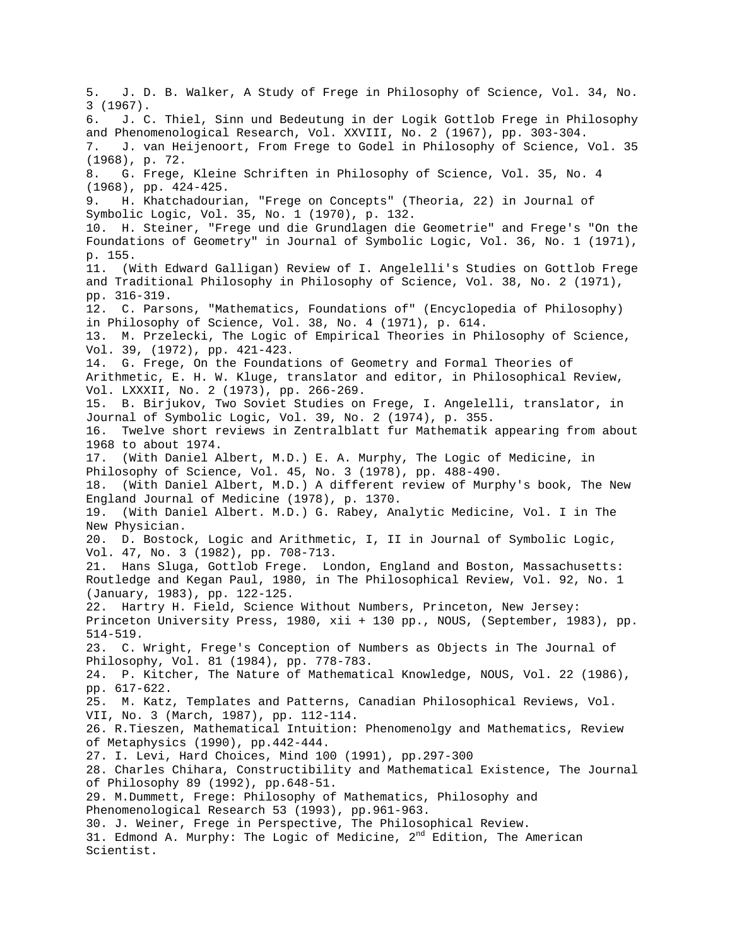5. J. D. B. Walker, A Study of Frege in Philosophy of Science, Vol. 34, No. 3 (1967). 6. J. C. Thiel, Sinn und Bedeutung in der Logik Gottlob Frege in Philosophy and Phenomenological Research, Vol. XXVIII, No. 2 (1967), pp. 303-304. 7. J. van Heijenoort, From Frege to Godel in Philosophy of Science, Vol. 35 (1968), p. 72. 8. G. Frege, Kleine Schriften in Philosophy of Science, Vol. 35, No. 4 (1968), pp. 424-425. 9. H. Khatchadourian, "Frege on Concepts" (Theoria, 22) in Journal of Symbolic Logic, Vol. 35, No. 1 (1970), p. 132. 10. H. Steiner, "Frege und die Grundlagen die Geometrie" and Frege's "On the Foundations of Geometry" in Journal of Symbolic Logic, Vol. 36, No. 1 (1971), p. 155. 11. (With Edward Galligan) Review of I. Angelelli's Studies on Gottlob Frege and Traditional Philosophy in Philosophy of Science, Vol. 38, No. 2 (1971), pp. 316-319. 12. C. Parsons, "Mathematics, Foundations of" (Encyclopedia of Philosophy) in Philosophy of Science, Vol. 38, No. 4 (1971), p. 614. 13. M. Przelecki, The Logic of Empirical Theories in Philosophy of Science, Vol. 39, (1972), pp. 421-423. 14. G. Frege, On the Foundations of Geometry and Formal Theories of Arithmetic, E. H. W. Kluge, translator and editor, in Philosophical Review, Vol. LXXXII, No. 2 (1973), pp. 266-269. 15. B. Birjukov, Two Soviet Studies on Frege, I. Angelelli, translator, in Journal of Symbolic Logic, Vol. 39, No. 2 (1974), p. 355. 16. Twelve short reviews in Zentralblatt fur Mathematik appearing from about 1968 to about 1974. 17. (With Daniel Albert, M.D.) E. A. Murphy, The Logic of Medicine, in Philosophy of Science, Vol. 45, No. 3 (1978), pp. 488-490. 18. (With Daniel Albert, M.D.) A different review of Murphy's book, The New England Journal of Medicine (1978), p. 1370. 19. (With Daniel Albert. M.D.) G. Rabey, Analytic Medicine, Vol. I in The New Physician. 20. D. Bostock, Logic and Arithmetic, I, II in Journal of Symbolic Logic, Vol. 47, No. 3 (1982), pp. 708-713. 21. Hans Sluga, Gottlob Frege. London, England and Boston, Massachusetts: Routledge and Kegan Paul, 1980, in The Philosophical Review, Vol. 92, No. 1 (January, 1983), pp. 122-125. 22. Hartry H. Field, Science Without Numbers, Princeton, New Jersey: Princeton University Press, 1980, xii + 130 pp., NOUS, (September, 1983), pp. 514-519. 23. C. Wright, Frege's Conception of Numbers as Objects in The Journal of Philosophy, Vol. 81 (1984), pp. 778-783. 24. P. Kitcher, The Nature of Mathematical Knowledge, NOUS, Vol. 22 (1986), pp. 617-622. 25. M. Katz, Templates and Patterns, Canadian Philosophical Reviews, Vol. VII, No. 3 (March, 1987), pp. 112-114. 26. R.Tieszen, Mathematical Intuition: Phenomenolgy and Mathematics, Review of Metaphysics (1990), pp.442-444. 27. I. Levi, Hard Choices, Mind 100 (1991), pp.297-300 28. Charles Chihara, Constructibility and Mathematical Existence, The Journal of Philosophy 89 (1992), pp.648-51. 29. M.Dummett, Frege: Philosophy of Mathematics, Philosophy and Phenomenological Research 53 (1993), pp.961-963. 30. J. Weiner, Frege in Perspective, The Philosophical Review. 31. Edmond A. Murphy: The Logic of Medicine,  $2^{nd}$  Edition, The American Scientist.